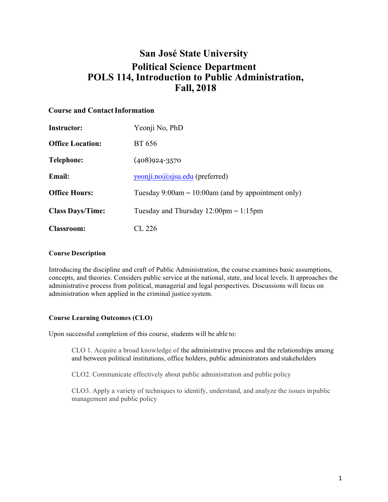# **San José State University Political Science Department POLS 114, Introduction to Public Administration, Fall, 2018**

# **Course and ContactInformation**

| <b>Instructor:</b>      | Yeonji No, PhD                                          |
|-------------------------|---------------------------------------------------------|
| <b>Office Location:</b> | BT 656                                                  |
| Telephone:              | $(408)924 - 3570$                                       |
| <b>Email:</b>           | yeonji.no@sisu.edu (preferred)                          |
| <b>Office Hours:</b>    | Tuesday 9:00am $- 10:00$ am (and by appointment only)   |
| <b>Class Days/Time:</b> | Tuesday and Thursday $12:00 \text{pm} - 1:15 \text{pm}$ |
| <b>Classroom:</b>       | CL 226                                                  |

#### **Course Description**

Introducing the discipline and craft of Public Administration, the course examines basic assumptions, concepts, and theories. Considers public service at the national, state, and local levels. It approaches the administrative process from political, managerial and legal perspectives. Discussions will focus on administration when applied in the criminal justice system.

#### **Course Learning Outcomes (CLO)**

Upon successful completion of this course, students will be able to:

CLO 1. Acquire a broad knowledge of the administrative process and the relationships among and between political institutions, office holders, public administrators and stakeholders

CLO2. Communicate effectively about public administration and public policy

CLO3. Apply a variety of techniques to identify, understand, and analyze the issues inpublic management and public policy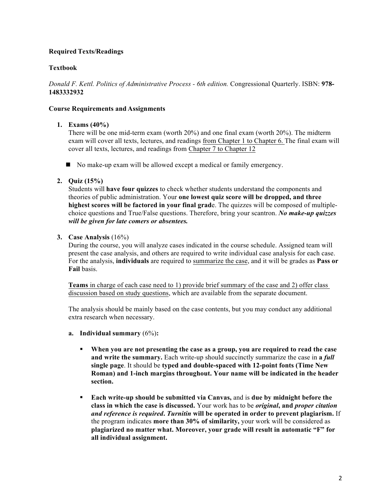## **Required Texts/Readings**

# **Textbook**

*Donald F. Kettl. Politics of Administrative Process - 6th edition.* Congressional Quarterly. ISBN: **978- 1483332932**

### **Course Requirements and Assignments**

### **1. Exams (40%)**

There will be one mid-term exam (worth 20%) and one final exam (worth 20%). The midterm exam will cover all texts, lectures, and readings from Chapter 1 to Chapter 6. The final exam will cover all texts, lectures, and readings from Chapter 7 to Chapter 12

 $\blacksquare$  No make-up exam will be allowed except a medical or family emergency.

## **2. Quiz (15%)**

Students will **have four quizzes** to check whether students understand the components and theories of public administration. Your **one lowest quiz score will be dropped, and three highest scores will be factored in your final grad**e. The quizzes will be composed of multiplechoice questions and True/False questions. Therefore, bring your scantron. *No make-up quizzes will be given for late comers or absentees.*

### **3. Case Analysis** (16%)

During the course, you will analyze cases indicated in the course schedule. Assigned team will present the case analysis, and others are required to write individual case analysis for each case. For the analysis, **individuals** are required to summarize the case, and it will be grades as **Pass or Fail** basis.

**Teams** in charge of each case need to 1) provide brief summary of the case and 2) offer class discussion based on study questions, which are available from the separate document.

The analysis should be mainly based on the case contents, but you may conduct any additional extra research when necessary.

- **a. Individual summary** (6%)**:**
	- § **When you are not presenting the case as a group, you are required to read the case and write the summary.** Each write-up should succinctly summarize the case in **a** *full*  **single page**. It should be **typed and double-spaced with 12-point fonts (Time New Roman) and 1-inch margins throughout. Your name will be indicated in the header section.**
	- § **Each write-up should be submitted via Canvas,** and is **due by midnight before the class in which the case is discussed.** Your work has to be *original***, and** *proper citation and reference is required***.** *Turnitin* **will be operated in order to prevent plagiarism.** If the program indicates **more than 30% of similarity,** your work will be considered as **plagiarized no matter what. Moreover, your grade will result in automatic "F" for all individual assignment.**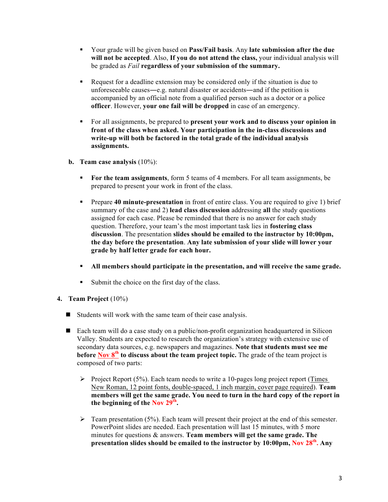- § Your grade will be given based on **Pass/Fail basis**. Any **late submission after the due will not be accepted**. Also, **If you do not attend the class,** your individual analysis will be graded as *Fail* **regardless of your submission of the summary.**
- § Request for a deadline extension may be considered only if the situation is due to unforeseeable causes―e.g. natural disaster or accidents―and if the petition is accompanied by an official note from a qualified person such as a doctor or a police **officer**. However, **your one fail will be dropped** in case of an emergency.
- § For all assignments, be prepared to **present your work and to discuss your opinion in front of the class when asked. Your participation in the in-class discussions and write-up will both be factored in the total grade of the individual analysis assignments.**
- **b. Team case analysis** (10%):
	- § **For the team assignments**, form 5 teams of 4 members. For all team assignments, be prepared to present your work in front of the class.
	- **•** Prepare **40 minute-presentation** in front of entire class. You are required to give 1) brief summary of the case and 2) **lead class discussion** addressing **all** the study questions assigned for each case. Please be reminded that there is no answer for each study question. Therefore, your team's the most important task lies in **fostering class discussion**. The presentation **slides should be emailed to the instructor by 10:00pm, the day before the presentation**. **Any late submission of your slide will lower your grade by half letter grade for each hour.**
	- § **All members should participate in the presentation, and will receive the same grade.**
	- Submit the choice on the first day of the class.
- **4. Team Project** (10%)
	- $\blacksquare$  Students will work with the same team of their case analysis.
	- $\blacksquare$  Each team will do a case study on a public/non-profit organization headquartered in Silicon Valley. Students are expected to research the organization's strategy with extensive use of secondary data sources, e.g. newspapers and magazines. **Note that students must see me before Nov 8th to discuss about the team project topic.** The grade of the team project is composed of two parts:
		- $\triangleright$  Project Report (5%). Each team needs to write a 10-pages long project report (Times New Roman, 12 point fonts, double-spaced, 1 inch margin, cover page required). **Team members will get the same grade. You need to turn in the hard copy of the report in the beginning of the Nov 29th.**
		- $\triangleright$  Team presentation (5%). Each team will present their project at the end of this semester. PowerPoint slides are needed. Each presentation will last 15 minutes, with 5 more minutes for questions & answers. **Team members will get the same grade. The presentation slides should be emailed to the instructor by 10:00pm, Nov 28th. Any**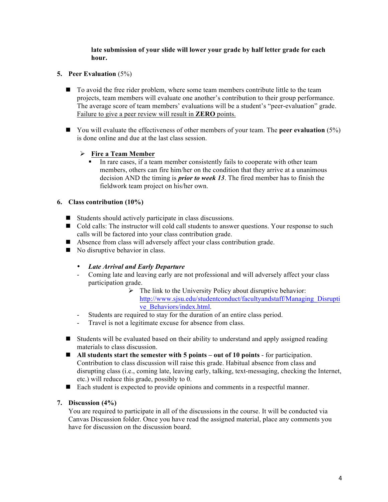### **late submission of your slide will lower your grade by half letter grade for each hour.**

### **5. Peer Evaluation** (5%)

- $\blacksquare$  To avoid the free rider problem, where some team members contribute little to the team projects, team members will evaluate one another's contribution to their group performance. The average score of team members' evaluations will be a student's "peer-evaluation" grade. Failure to give a peer review will result in **ZERO** points.
- You will evaluate the effectiveness of other members of your team. The **peer evaluation** (5%) is done online and due at the last class session.

### Ø **Fire a Team Member**

• In rare cases, if a team member consistently fails to cooperate with other team members, others can fire him/her on the condition that they arrive at a unanimous decision AND the timing is *prior to week 13*. The fired member has to finish the fieldwork team project on his/her own.

#### **6. Class contribution (10%)**

- $\blacksquare$  Students should actively participate in class discussions.
- Cold calls: The instructor will cold call students to answer questions. Your response to such calls will be factored into your class contribution grade.
- Absence from class will adversely affect your class contribution grade.
- $\blacksquare$  No disruptive behavior in class.

#### • *Late Arrival and Early Departure*

- Coming late and leaving early are not professional and will adversely affect your class participation grade.
	- $\triangleright$  The link to the University Policy about disruptive behavior: http://www.sjsu.edu/studentconduct/facultyandstaff/Managing\_Disrupti ve\_Behaviors/index.html.
- Students are required to stay for the duration of an entire class period.
- Travel is not a legitimate excuse for absence from class.
- $\blacksquare$  Students will be evaluated based on their ability to understand and apply assigned reading materials to class discussion.
- All students start the semester with 5 points out of 10 points for participation. Contribution to class discussion will raise this grade. Habitual absence from class and disrupting class (i.e., coming late, leaving early, talking, text-messaging, checking the Internet, etc.) will reduce this grade, possibly to 0.
- Each student is expected to provide opinions and comments in a respectful manner.

#### **7. Discussion (4%)**

You are required to participate in all of the discussions in the course. It will be conducted via Canvas Discussion folder. Once you have read the assigned material, place any comments you have for discussion on the discussion board.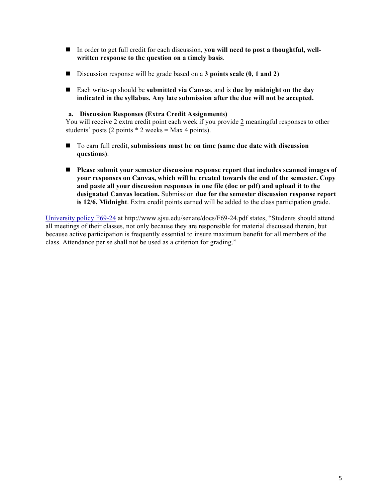- In order to get full credit for each discussion, **you will need to post a thoughtful, well written response to the question on a timely basis**.
- Discussion response will be grade based on a **3 points scale (0, 1 and 2)**
- Each write-up should be **submitted via Canvas**, and is **due by midnight on the day indicated in the syllabus. Any late submission after the due will not be accepted.**

#### **a. Discussion Responses (Extra Credit Assignments)**

You will receive 2 extra credit point each week if you provide 2 meaningful responses to other students' posts (2 points  $*$  2 weeks = Max 4 points).

- To earn full credit, submissions must be on time (same due date with discussion **questions)**.
- n **Please submit your semester discussion response report that includes scanned images of your responses on Canvas, which will be created towards the end of the semester. Copy and paste all your discussion responses in one file (doc or pdf) and upload it to the designated Canvas location.** Submission **due for the semester discussion response report is 12/6, Midnight**. Extra credit points earned will be added to the class participation grade.

University policy F69-24 at http://www.sjsu.edu/senate/docs/F69-24.pdf states, "Students should attend all meetings of their classes, not only because they are responsible for material discussed therein, but because active participation is frequently essential to insure maximum benefit for all members of the class. Attendance per se shall not be used as a criterion for grading."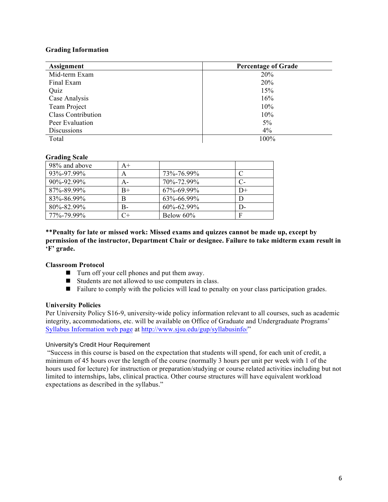#### **Grading Information**

| Assignment                | <b>Percentage of Grade</b> |
|---------------------------|----------------------------|
| Mid-term Exam             | 20%                        |
| Final Exam                | 20%                        |
| Quiz                      | 15%                        |
| Case Analysis             | 16%                        |
| Team Project              | 10%                        |
| <b>Class Contribution</b> | 10%                        |
| Peer Evaluation           | $5\%$                      |
| Discussions               | 4%                         |
| Total                     | 100%                       |

#### **Grading Scale**

| 98% and above | $A+$ |                  |     |
|---------------|------|------------------|-----|
| 93%-97.99%    | A    | 73\%-76.99\%     |     |
| 90%-92.99%    | А-   | 70\%-72 99\%     |     |
| 87%-89.99%    | $B+$ | $67\% - 699\%$   | D+  |
| 83%-86.99%    | B    | 63%-66.99%       |     |
| 80%-82.99%    | B-   | $60\% - 62.99\%$ | I)- |
| 77%-79.99%    | C+   | Below 60%        | F   |

**\*\*Penalty for late or missed work: Missed exams and quizzes cannot be made up, except by permission of the instructor, Department Chair or designee. Failure to take midterm exam result in 'F' grade.**

#### **Classroom Protocol**

- $\blacksquare$  Turn off your cell phones and put them away.
- $\blacksquare$  Students are not allowed to use computers in class.
- Failure to comply with the policies will lead to penalty on your class participation grades.

#### **University Policies**

Per University Policy S16-9, university-wide policy information relevant to all courses, such as academic integrity, accommodations, etc. will be available on Office of Graduate and Undergraduate Programs' Syllabus Information web page at http://www.sjsu.edu/gup/syllabusinfo/"

#### University's Credit Hour Requirement

"Success in this course is based on the expectation that students will spend, for each unit of credit, a minimum of 45 hours over the length of the course (normally 3 hours per unit per week with 1 of the hours used for lecture) for instruction or preparation/studying or course related activities including but not limited to internships, labs, clinical practica. Other course structures will have equivalent workload expectations as described in the syllabus."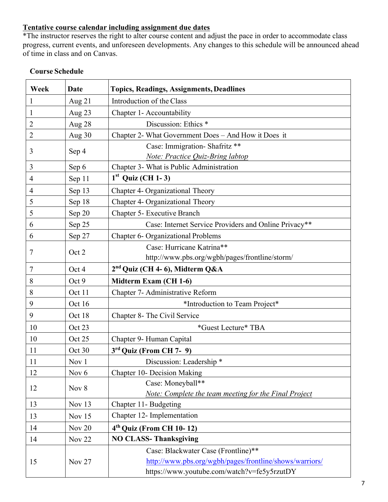# **Tentative course calendar including assignment due dates**

\*The instructor reserves the right to alter course content and adjust the pace in order to accommodate class progress, current events, and unforeseen developments. Any changes to this schedule will be announced ahead of time in class and on Canvas.

| Week           | Date          | <b>Topics, Readings, Assignments, Deadlines</b>         |  |
|----------------|---------------|---------------------------------------------------------|--|
| $\mathbf{1}$   | Aug $21$      | Introduction of the Class                               |  |
| $\mathbf{1}$   | Aug 23        | Chapter 1- Accountability                               |  |
| $\overline{2}$ | Aug 28        | Discussion: Ethics *                                    |  |
| $\overline{2}$ | Aug 30        | Chapter 2- What Government Does - And How it Does it    |  |
| 3              | Sep 4         | Case: Immigration- Shafritz **                          |  |
|                |               | Note: Practice Quiz-Bring labtop                        |  |
| $\mathfrak{Z}$ | Sep 6         | Chapter 3- What is Public Administration                |  |
| $\overline{4}$ | Sep 11        | $1st$ Quiz (CH 1-3)                                     |  |
| $\overline{4}$ | Sep 13        | Chapter 4- Organizational Theory                        |  |
| 5              | Sep 18        | Chapter 4- Organizational Theory                        |  |
| 5              | Sep 20        | Chapter 5- Executive Branch                             |  |
| 6              | Sep 25        | Case: Internet Service Providers and Online Privacy**   |  |
| 6              | Sep 27        | <b>Chapter 6- Organizational Problems</b>               |  |
|                |               | Case: Hurricane Katrina**                               |  |
| 7              | Oct 2         | http://www.pbs.org/wgbh/pages/frontline/storm/          |  |
| $\overline{7}$ | Oct 4         | 2 <sup>nd</sup> Quiz (CH 4-6), Midterm Q&A              |  |
| 8              | Oct 9         | Midterm Exam (CH 1-6)                                   |  |
| 8              | Oct 11        | Chapter 7- Administrative Reform                        |  |
| 9              | Oct 16        | *Introduction to Team Project*                          |  |
| 9              | Oct 18        | Chapter 8- The Civil Service                            |  |
| 10             | Oct 23        | *Guest Lecture* TBA                                     |  |
| 10             | Oct 25        | Chapter 9- Human Capital                                |  |
| 11             | Oct 30        | 3rd Quiz (From CH 7- 9)                                 |  |
| 11             | Nov 1         | Discussion: Leadership *                                |  |
| 12             | Nov 6         | Chapter 10- Decision Making                             |  |
| 12             | Nov 8         | Case: Moneyball**                                       |  |
|                |               | Note: Complete the team meeting for the Final Project   |  |
| 13             | Nov 13        | Chapter 11- Budgeting                                   |  |
| 13             | Nov 15        | Chapter 12- Implementation                              |  |
| 14             | Nov 20        | $4th$ Quiz (From CH 10-12)                              |  |
| 14             | <b>Nov 22</b> | <b>NO CLASS-Thanksgiving</b>                            |  |
|                | Nov 27        | Case: Blackwater Case (Frontline)**                     |  |
| 15             |               | http://www.pbs.org/wgbh/pages/frontline/shows/warriors/ |  |
|                |               | https://www.youtube.com/watch?v=fe5y5rzutDY             |  |

# **Course Schedule**